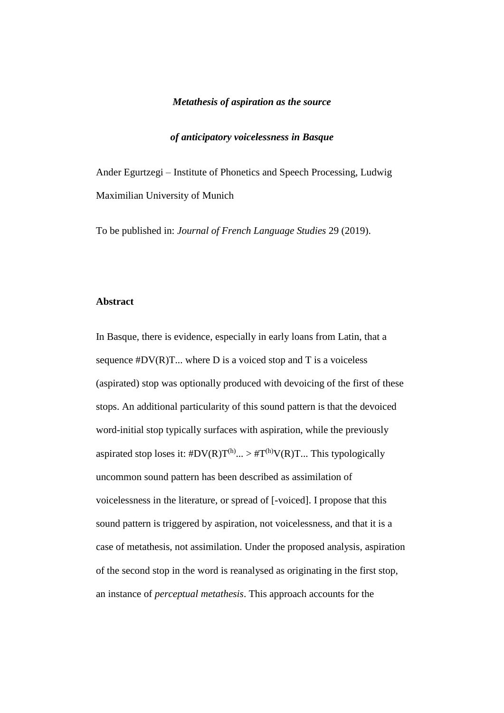#### *Metathesis of aspiration as the source*

## *of anticipatory voicelessness in Basque*

Ander Egurtzegi – Institute of Phonetics and Speech Processing, Ludwig Maximilian University of Munich

To be published in: *Journal of French Language Studies* 29 (2019).

## **Abstract**

In Basque, there is evidence, especially in early loans from Latin, that a sequence  $#DV(R)T...$  where D is a voiced stop and T is a voiceless (aspirated) stop was optionally produced with devoicing of the first of these stops. An additional particularity of this sound pattern is that the devoiced word-initial stop typically surfaces with aspiration, while the previously aspirated stop loses it:  $#DV(R)T^{(h)} \dots > #T^{(h)}V(R)T \dots$  This typologically uncommon sound pattern has been described as assimilation of voicelessness in the literature, or spread of [-voiced]. I propose that this sound pattern is triggered by aspiration, not voicelessness, and that it is a case of metathesis, not assimilation. Under the proposed analysis, aspiration of the second stop in the word is reanalysed as originating in the first stop, an instance of *perceptual metathesis*. This approach accounts for the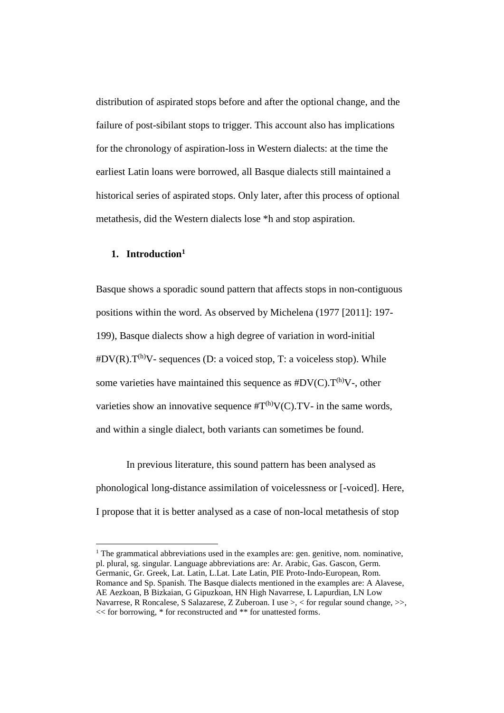distribution of aspirated stops before and after the optional change, and the failure of post-sibilant stops to trigger. This account also has implications for the chronology of aspiration-loss in Western dialects: at the time the earliest Latin loans were borrowed, all Basque dialects still maintained a historical series of aspirated stops. Only later, after this process of optional metathesis, did the Western dialects lose \*h and stop aspiration.

## **1. Introduction<sup>1</sup>**

 $\overline{a}$ 

Basque shows a sporadic sound pattern that affects stops in non-contiguous positions within the word. As observed by Michelena (1977 [2011]: 197- 199), Basque dialects show a high degree of variation in word-initial  $\#DV(R).T^{(h)}V$ - sequences (D: a voiced stop, T: a voiceless stop). While some varieties have maintained this sequence as  $#DV(C).T^{(h)}V$ -, other varieties show an innovative sequence  $\#T^{(h)}V(C)$ . TV- in the same words, and within a single dialect, both variants can sometimes be found.

In previous literature, this sound pattern has been analysed as phonological long-distance assimilation of voicelessness or [-voiced]. Here, I propose that it is better analysed as a case of non-local metathesis of stop

<sup>1</sup> The grammatical abbreviations used in the examples are: gen. genitive, nom. nominative, pl. plural, sg. singular. Language abbreviations are: Ar. Arabic, Gas. Gascon, Germ. Germanic, Gr. Greek, Lat. Latin, L.Lat. Late Latin, PIE Proto-Indo-European, Rom. Romance and Sp. Spanish. The Basque dialects mentioned in the examples are: A Alavese, AE Aezkoan, B Bizkaian, G Gipuzkoan, HN High Navarrese, L Lapurdian, LN Low Navarrese, R Roncalese, S Salazarese, Z Zuberoan. I use >, < for regular sound change, >>, << for borrowing, \* for reconstructed and \*\* for unattested forms.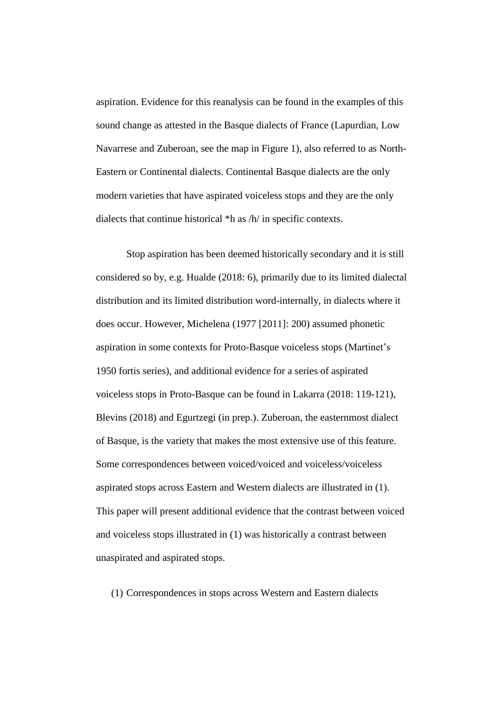aspiration. Evidence for this reanalysis can be found in the examples of this sound change as attested in the Basque dialects of France (Lapurdian, Low Navarrese and Zuberoan, see the map in Figure 1), also referred to as North-Eastern or Continental dialects. Continental Basque dialects are the only modern varieties that have aspirated voiceless stops and they are the only dialects that continue historical \*h as /h/ in specific contexts.

Stop aspiration has been deemed historically secondary and it is still considered so by, e.g. Hualde (2018: 6), primarily due to its limited dialectal distribution and its limited distribution word-internally, in dialects where it does occur. However, Michelena (1977 [2011]: 200) assumed phonetic aspiration in some contexts for Proto-Basque voiceless stops (Martinet's 1950 fortis series), and additional evidence for a series of aspirated voiceless stops in Proto-Basque can be found in Lakarra (2018: 119-121), Blevins (2018) and Egurtzegi (in prep.). Zuberoan, the easternmost dialect of Basque, is the variety that makes the most extensive use of this feature. Some correspondences between voiced/voiced and voiceless/voiceless aspirated stops across Eastern and Western dialects are illustrated in (1). This paper will present additional evidence that the contrast between voiced and voiceless stops illustrated in (1) was historically a contrast between unaspirated and aspirated stops.

(1) Correspondences in stops across Western and Eastern dialects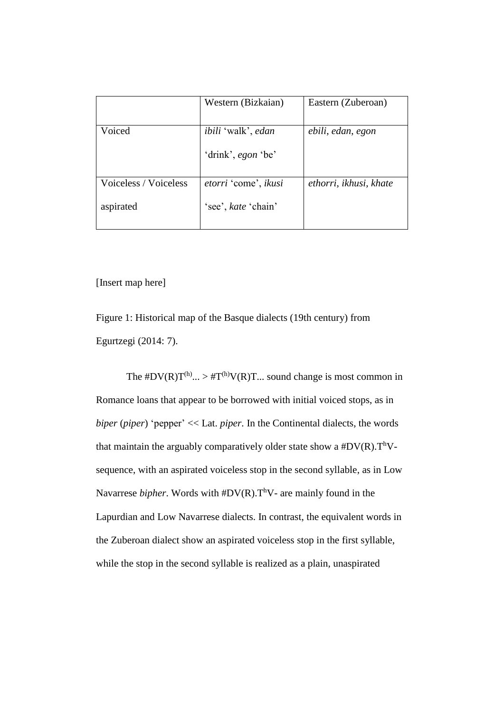|                       | Western (Bizkaian)                              | Eastern (Zuberoan)     |
|-----------------------|-------------------------------------------------|------------------------|
| Voiced                | <i>ibili</i> 'walk', edan<br>'drink', egon 'be' | ebili, edan, egon      |
| Voiceless / Voiceless | etorri 'come', ikusi                            | ethorri, ikhusi, khate |
| aspirated             | 'see', kate 'chain'                             |                        |

[Insert map here]

Figure 1: Historical map of the Basque dialects (19th century) from Egurtzegi (2014: 7).

The  $#DV(R)T^{(h)} \dots \geq #T^{(h)}V(R)T \dots$  sound change is most common in Romance loans that appear to be borrowed with initial voiced stops, as in *biper* (*piper*) 'pepper' << Lat. *piper*. In the Continental dialects, the words that maintain the arguably comparatively older state show a  $#DV(R)$ . T<sup>h</sup>Vsequence, with an aspirated voiceless stop in the second syllable, as in Low Navarrese *bipher*. Words with  $#DV(R)$ . T<sup>h</sup>V- are mainly found in the Lapurdian and Low Navarrese dialects. In contrast, the equivalent words in the Zuberoan dialect show an aspirated voiceless stop in the first syllable, while the stop in the second syllable is realized as a plain, unaspirated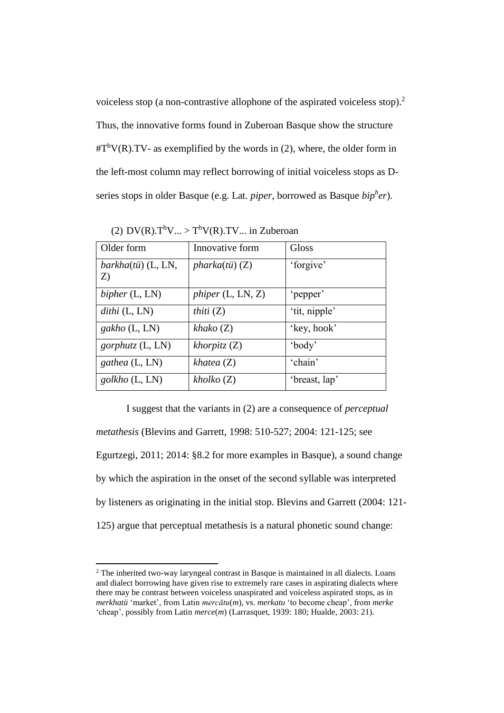voiceless stop (a non-contrastive allophone of the aspirated voiceless stop).<sup>2</sup> Thus, the innovative forms found in Zuberoan Basque show the structure  $\#T^hV(R)$ .TV- as exemplified by the words in (2), where, the older form in the left-most column may reflect borrowing of initial voiceless stops as Dseries stops in older Basque (e.g. Lat. *piper*, borrowed as Basque *bip<sup>h</sup> er*).

| Older form                   | Innovative form    | <b>Gloss</b>  |
|------------------------------|--------------------|---------------|
| $barkha (tii)$ (L, LN,<br>Z) | $pharka(tii)$ (Z)  | 'forgive'     |
| bipher $(L, LN)$             | phiper(L, LN, Z)   | 'pepper'      |
| $dithi$ (L, LN)              | <i>thiti</i> $(Z)$ | 'tit, nipple' |
| $gakho$ (L, LN)              | $k$ hako $(Z)$     | 'key, hook'   |
| <i>gorphutz</i> $(L, LN)$    | $khorpitz$ (Z)     | 'body'        |
| gathea (L, LN)               | khata(Z)           | 'chain'       |
| golkho (L, LN)               | kholko(Z)          | 'breast, lap' |

(2)  $DV(R).T^hV... > T^hV(R).TV...$  in Zuberoan

I suggest that the variants in (2) are a consequence of *perceptual metathesis* (Blevins and Garrett, 1998: 510-527; 2004: 121-125; see Egurtzegi, 2011; 2014: §8.2 for more examples in Basque), a sound change by which the aspiration in the onset of the second syllable was interpreted by listeners as originating in the initial stop. Blevins and Garrett (2004: 121- 125) argue that perceptual metathesis is a natural phonetic sound change:

 $\overline{\phantom{a}}$ 

<sup>2</sup> The inherited two-way laryngeal contrast in Basque is maintained in all dialects. Loans and dialect borrowing have given rise to extremely rare cases in aspirating dialects where there may be contrast between voiceless unaspirated and voiceless aspirated stops, as in *merkhatü* 'market', from Latin *mercātu*(*m*), vs. *merkatu* 'to become cheap', from *merke* 'cheap', possibly from Latin *merce*(*m*) (Larrasquet, 1939: 180; Hualde, 2003: 21).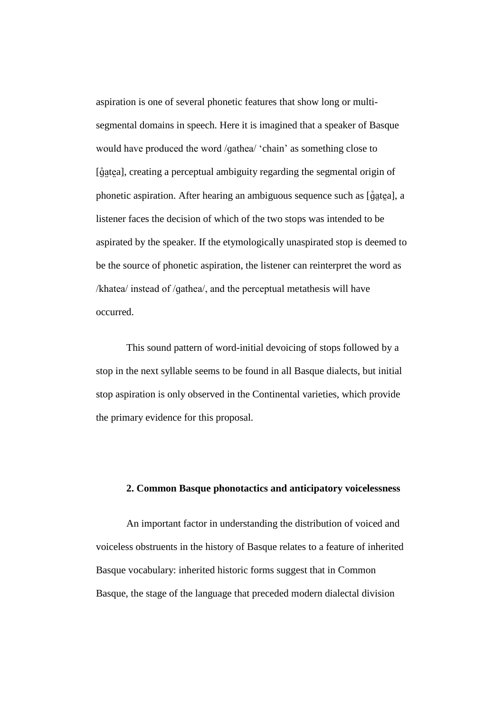aspiration is one of several phonetic features that show long or multisegmental domains in speech. Here it is imagined that a speaker of Basque would have produced the word /ɡathea/ 'chain' as something close to [ $\hat{\mathfrak{g}}$ atea], creating a perceptual ambiguity regarding the segmental origin of phonetic aspiration. After hearing an ambiguous sequence such as [ɡ̃a̯tea], a listener faces the decision of which of the two stops was intended to be aspirated by the speaker. If the etymologically unaspirated stop is deemed to be the source of phonetic aspiration, the listener can reinterpret the word as /khatea/ instead of /ɡathea/, and the perceptual metathesis will have occurred.

This sound pattern of word-initial devoicing of stops followed by a stop in the next syllable seems to be found in all Basque dialects, but initial stop aspiration is only observed in the Continental varieties, which provide the primary evidence for this proposal.

# **2. Common Basque phonotactics and anticipatory voicelessness**

An important factor in understanding the distribution of voiced and voiceless obstruents in the history of Basque relates to a feature of inherited Basque vocabulary: inherited historic forms suggest that in Common Basque, the stage of the language that preceded modern dialectal division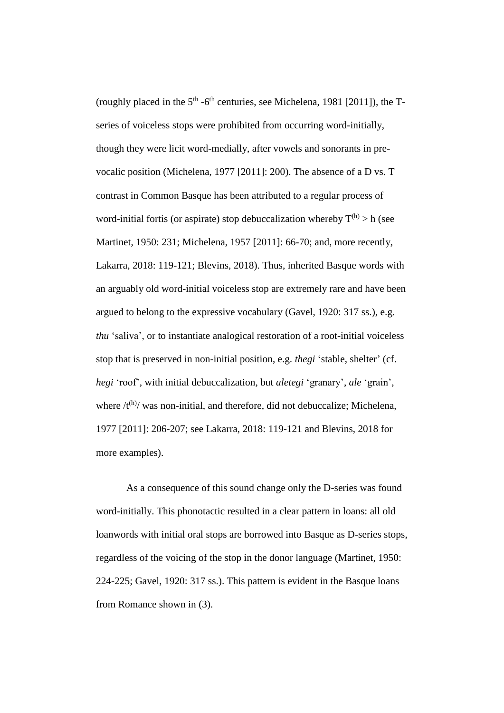(roughly placed in the  $5<sup>th</sup> - 6<sup>th</sup>$  centuries, see Michelena, 1981 [2011]), the Tseries of voiceless stops were prohibited from occurring word-initially, though they were licit word-medially, after vowels and sonorants in prevocalic position (Michelena, 1977 [2011]: 200). The absence of a D vs. T contrast in Common Basque has been attributed to a regular process of word-initial fortis (or aspirate) stop debuccalization whereby  $T^{(h)} > h$  (see Martinet, 1950: 231; Michelena, 1957 [2011]: 66-70; and, more recently, Lakarra, 2018: 119-121; Blevins, 2018). Thus, inherited Basque words with an arguably old word-initial voiceless stop are extremely rare and have been argued to belong to the expressive vocabulary (Gavel, 1920: 317 ss.), e.g. *thu* 'saliva', or to instantiate analogical restoration of a root-initial voiceless stop that is preserved in non-initial position, e.g. *thegi* 'stable, shelter' (cf. *hegi* 'roof', with initial debuccalization, but *aletegi* 'granary', *ale* 'grain', where  $/t^{(h)}$  was non-initial, and therefore, did not debuccalize; Michelena, 1977 [2011]: 206-207; see Lakarra, 2018: 119-121 and Blevins, 2018 for more examples).

As a consequence of this sound change only the D-series was found word-initially. This phonotactic resulted in a clear pattern in loans: all old loanwords with initial oral stops are borrowed into Basque as D-series stops, regardless of the voicing of the stop in the donor language (Martinet, 1950: 224-225; Gavel, 1920: 317 ss.). This pattern is evident in the Basque loans from Romance shown in (3).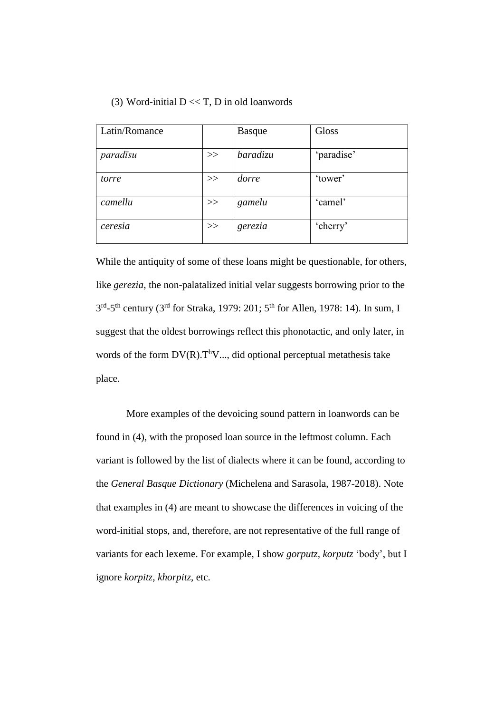| Latin/Romance |    | <b>Basque</b> | Gloss      |
|---------------|----|---------------|------------|
| paradīsu      | >> | baradizu      | 'paradise' |
| torre         | >> | dorre         | 'tower'    |
| camellu       | >> | gamelu        | 'camel'    |
| ceresia       | >> | gerezia       | 'cherry'   |

While the antiquity of some of these loans might be questionable, for others, like *gerezia*, the non-palatalized initial velar suggests borrowing prior to the  $3<sup>rd</sup> - 5<sup>th</sup>$  century (3<sup>rd</sup> for Straka, 1979: 201; 5<sup>th</sup> for Allen, 1978: 14). In sum, I suggest that the oldest borrowings reflect this phonotactic, and only later, in words of the form  $DV(R), T^hV, \ldots$ , did optional perceptual metathesis take place.

More examples of the devoicing sound pattern in loanwords can be found in (4), with the proposed loan source in the leftmost column. Each variant is followed by the list of dialects where it can be found, according to the *General Basque Dictionary* (Michelena and Sarasola, 1987-2018). Note that examples in (4) are meant to showcase the differences in voicing of the word-initial stops, and, therefore, are not representative of the full range of variants for each lexeme. For example, I show *gorputz, korputz* 'body', but I ignore *korpitz*, *khorpitz*, etc.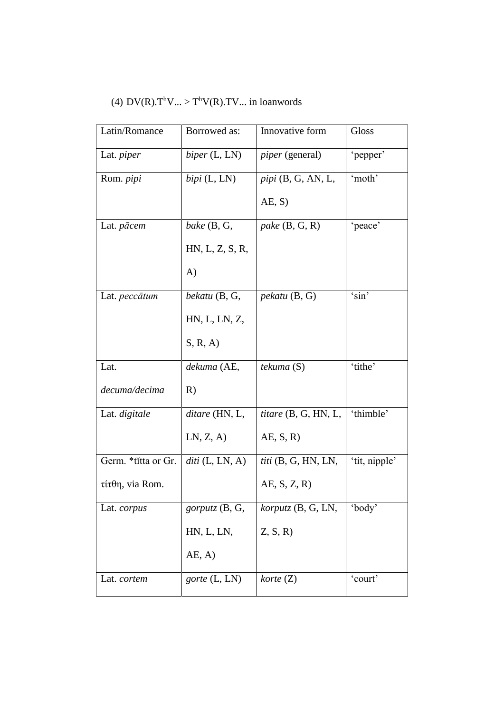# (4)  $DV(R).T^hV... > T^hV(R).TV...$  in loanwords

| Latin/Romance        | Borrowed as:      | Innovative form          | Gloss         |
|----------------------|-------------------|--------------------------|---------------|
| Lat. <i>piper</i>    | biper(L, LN)      | <i>piper</i> (general)   | 'pepper'      |
| Rom. <i>pipi</i>     | $bipi$ (L, LN)    | $pi$ ipi $(B, G, AN, L,$ | 'moth'        |
|                      |                   | AE, S)                   |               |
| Lat. <i>pācem</i>    | bake $(B, G,$     | pake $(B, G, R)$         | 'peace'       |
|                      | HN, L, Z, S, R,   |                          |               |
|                      | $\bf{A}$          |                          |               |
| Lat. <i>peccātum</i> | bekatu (B, G,     | $\mu$ ekatu (B, G)       | 'sin'         |
|                      | HN, L, LN, Z,     |                          |               |
|                      | S, R, A           |                          |               |
| Lat.                 | dekuma (AE,       | tekuma (S)               | 'tithe'       |
| decuma/decima        | R)                |                          |               |
| Lat. digitale        | ditare (HN, L,    | titare (B, G, HN, L,     | 'thimble'     |
|                      | LN, Z, A)         | AE, S, R                 |               |
| Germ. *titta or Gr.  | $diti$ (L, LN, A) | $titi$ (B, G, HN, LN,    | 'tit, nipple' |
| $τ$ ίτθη, via Rom.   |                   | AE, S, Z, R              |               |
| Lat. <i>corpus</i>   | gorputz (B, G,    | korputz (B, G, LN,       | 'body'        |
|                      | HN, L, LN,        | Z, S, R                  |               |
|                      | AE, A)            |                          |               |
| Lat. cortem          | gorte (L, LN)     | $k$ orte $(Z)$           | 'court'       |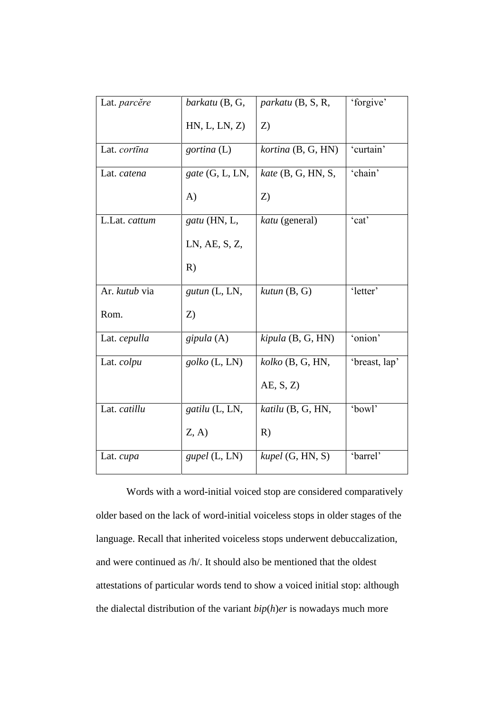| Lat. parcere  | barkatu (B, G,    | parkatu (B, S, R,    | 'forgive'     |
|---------------|-------------------|----------------------|---------------|
|               | HN, L, LN, Z)     | Z)                   |               |
| Lat. cortina  | gortina (L)       | kortina (B, G, HN)   | 'curtain'     |
| Lat. catena   | $gate$ (G, L, LN, | $kate$ (B, G, HN, S, | 'chain'       |
|               | $\bf{A}$          | Z)                   |               |
| L.Lat. cattum | gatu (HN, L,      | katu (general)       | 'cat'         |
|               | LN, AE, S, Z,     |                      |               |
|               | R)                |                      |               |
| Ar. kutub via | gutun (L, LN,     | $kutun$ $(B, G)$     | 'letter'      |
| Rom.          | Z)                |                      |               |
| Lat. cepulla  | gipula $(A)$      | kipula (B, G, HN)    | 'onion'       |
| Lat. colpu    | $golko$ (L, LN)   | $kolko$ (B, G, HN,   | 'breast, lap' |
|               |                   | AE, S, Z             |               |
| Lat. catillu  | gatilu (L, LN,    | katilu (B, G, HN,    | 'bowl'        |
|               | Z, A)             | R)                   |               |
| Lat. cupa     | gupel (L, LN)     | kupel (G, HN, S)     | 'barrel'      |

Words with a word-initial voiced stop are considered comparatively older based on the lack of word-initial voiceless stops in older stages of the language. Recall that inherited voiceless stops underwent debuccalization, and were continued as /h/. It should also be mentioned that the oldest attestations of particular words tend to show a voiced initial stop: although the dialectal distribution of the variant *bip*(*h*)*er* is nowadays much more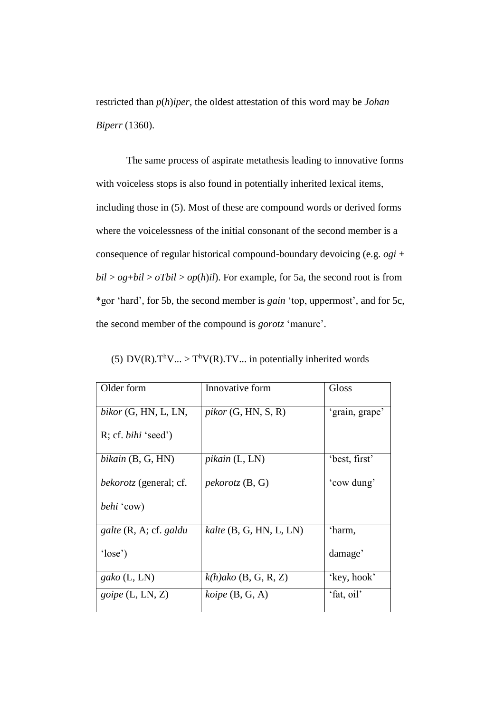restricted than *p*(*h*)*iper*, the oldest attestation of this word may be *Johan Biperr* (1360).

The same process of aspirate metathesis leading to innovative forms with voiceless stops is also found in potentially inherited lexical items, including those in (5). Most of these are compound words or derived forms where the voicelessness of the initial consonant of the second member is a consequence of regular historical compound-boundary devoicing (e.g. *ogi* +  $bil > og+bil > oTbil > op(h)il$ . For example, for 5a, the second root is from \*gor 'hard', for 5b, the second member is *gain* 'top, uppermost', and for 5c, the second member of the compound is *gorotz* 'manure'.

(5)  $DV(R).T^hV... > T^hV(R).TV...$  in potentially inherited words

| Older form                    | Innovative form             | Gloss          |
|-------------------------------|-----------------------------|----------------|
|                               |                             |                |
|                               |                             |                |
| $bikor$ (G, HN, L, LN,        | $pikor$ (G, HN, S, R)       | 'grain, grape' |
|                               |                             |                |
| $R$ ; cf. <i>bihi</i> 'seed') |                             |                |
|                               |                             |                |
|                               |                             |                |
| bikain $(B, G, HN)$           | $pikain$ (L, LN)            | 'best, first'  |
|                               |                             |                |
|                               |                             |                |
| <i>bekorotz</i> (general; cf. | $pekorotz$ (B, G)           | 'cow dung'     |
|                               |                             |                |
| <i>behi</i> 'cow)             |                             |                |
|                               |                             |                |
|                               |                             |                |
| galte (R, A; cf. galdu        | $kalte$ $(B, G, HN, L, LN)$ | 'harm,         |
|                               |                             |                |
| 'lose'                        |                             | damage'        |
|                               |                             |                |
|                               |                             |                |
| gako $(L, LN)$                | $k(h)$ ako (B, G, R, Z)     | 'key, hook'    |
|                               |                             |                |
| <i>goipe</i> $(L, LN, Z)$     | $koipe$ $(B, G, A)$         | 'fat, oil'     |
|                               |                             |                |
|                               |                             |                |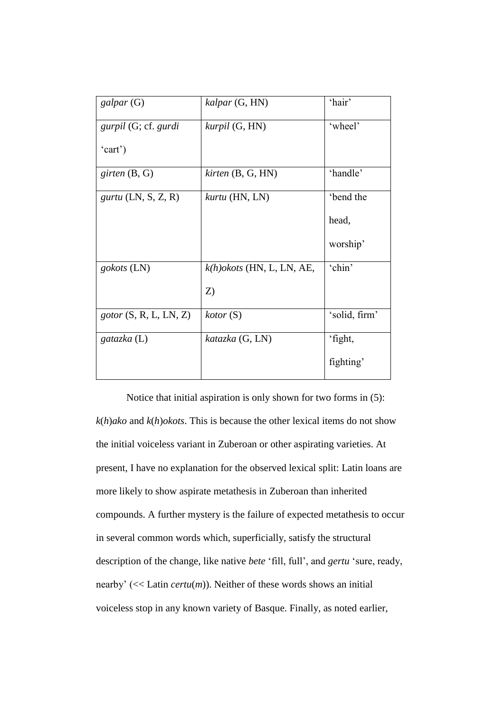| $\mathfrak{g}$ alpar $(G)$         | kalpar (G, HN)                | 'hair'        |
|------------------------------------|-------------------------------|---------------|
|                                    |                               |               |
| <i>gurpil</i> (G; cf. <i>gurdi</i> | kurpil (G, HN)                | 'wheel'       |
|                                    |                               |               |
| 'cart')                            |                               |               |
|                                    |                               |               |
| girten $(B, G)$                    | $k$ <i>irten</i> $(B, G, HN)$ | 'handle'      |
|                                    |                               |               |
| $gurtu$ (LN, S, Z, R)              | kurtu (HN, LN)                | 'bend the     |
|                                    |                               |               |
|                                    |                               | head,         |
|                                    |                               |               |
|                                    |                               | worship'      |
|                                    |                               |               |
| gokots (LN)                        | $k(h)$ okots (HN, L, LN, AE,  | 'chin'        |
|                                    |                               |               |
|                                    | Z)                            |               |
|                                    |                               |               |
| gotor(S, R, L, LN, Z)              | kotor(S)                      | 'solid, firm' |
|                                    |                               |               |
|                                    |                               |               |
| gatazka $(L)$                      | katazka (G, LN)               | 'fight,       |
|                                    |                               |               |
|                                    |                               | fighting'     |
|                                    |                               |               |

Notice that initial aspiration is only shown for two forms in (5): *k*(*h*)*ako* and *k*(*h*)*okots*. This is because the other lexical items do not show the initial voiceless variant in Zuberoan or other aspirating varieties. At present, I have no explanation for the observed lexical split: Latin loans are more likely to show aspirate metathesis in Zuberoan than inherited compounds. A further mystery is the failure of expected metathesis to occur in several common words which, superficially, satisfy the structural description of the change, like native *bete* 'fill, full', and *gertu* 'sure, ready, nearby' (<< Latin *certu*(*m*)). Neither of these words shows an initial voiceless stop in any known variety of Basque. Finally, as noted earlier,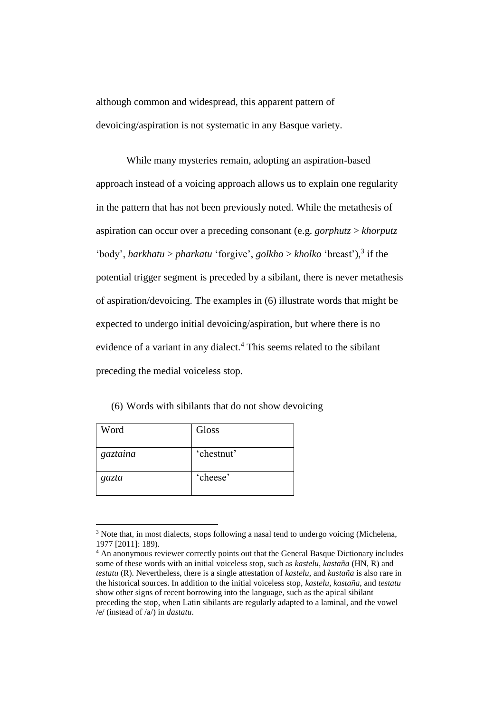although common and widespread, this apparent pattern of devoicing/aspiration is not systematic in any Basque variety.

While many mysteries remain, adopting an aspiration-based approach instead of a voicing approach allows us to explain one regularity in the pattern that has not been previously noted. While the metathesis of aspiration can occur over a preceding consonant (e.g. *gorphutz* > *khorputz* 'body', *barkhatu* > *pharkatu* 'forgive', *golkho* > *kholko* 'breast'),<sup>3</sup> if the potential trigger segment is preceded by a sibilant, there is never metathesis of aspiration/devoicing. The examples in (6) illustrate words that might be expected to undergo initial devoicing/aspiration, but where there is no evidence of a variant in any dialect.<sup>4</sup> This seems related to the sibilant preceding the medial voiceless stop.

(6) Words with sibilants that do not show devoicing

| Word     | Gloss      |
|----------|------------|
| gaztaina | 'chestnut' |
| gazta    | 'cheese'   |

 $\overline{\phantom{a}}$ 

<sup>&</sup>lt;sup>3</sup> Note that, in most dialects, stops following a nasal tend to undergo voicing (Michelena, 1977 [2011]: 189).

<sup>&</sup>lt;sup>4</sup> An anonymous reviewer correctly points out that the General Basque Dictionary includes some of these words with an initial voiceless stop, such as *kastelu*, *kastaña* (HN, R) and *testatu* (R). Nevertheless, there is a single attestation of *kastelu*, and *kastaña* is also rare in the historical sources. In addition to the initial voiceless stop, *kastelu*, *kastaña*, and *testatu* show other signs of recent borrowing into the language, such as the apical sibilant preceding the stop, when Latin sibilants are regularly adapted to a laminal, and the vowel /e/ (instead of /a/) in *dastatu*.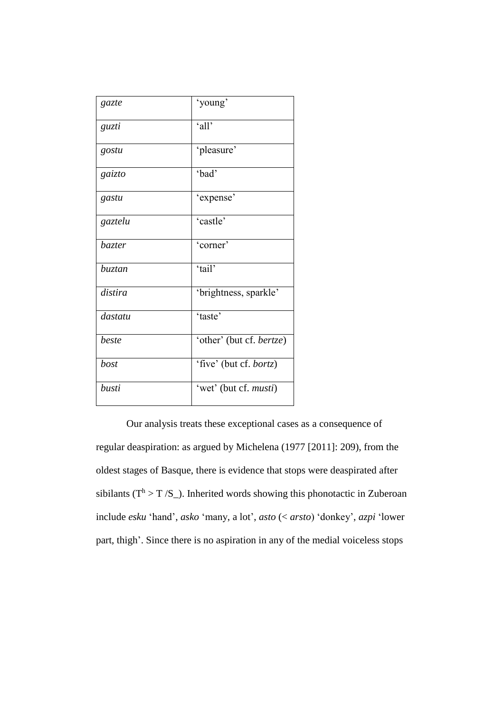| gazte         | 'young'                  |
|---------------|--------------------------|
| guzti         | 'all'                    |
| gostu         | 'pleasure'               |
| gaizto        | 'bad'                    |
| gastu         | 'expense'                |
| gaztelu       | 'castle'                 |
| <i>bazter</i> | 'corner'                 |
| <i>buztan</i> | 'tail'                   |
| distira       | 'brightness, sparkle'    |
| dastatu       | 'taste'                  |
| beste         | 'other' (but cf. bertze) |
| bost          | 'five' (but cf. bortz)   |
| busti         | 'wet' (but cf. musti)    |

Our analysis treats these exceptional cases as a consequence of regular deaspiration: as argued by Michelena (1977 [2011]: 209), from the oldest stages of Basque, there is evidence that stops were deaspirated after sibilants ( $T^h > T / S$ ). Inherited words showing this phonotactic in Zuberoan include *esku* 'hand', *asko* 'many, a lot', *asto* (< *arsto*) 'donkey', *azpi* 'lower part, thigh'. Since there is no aspiration in any of the medial voiceless stops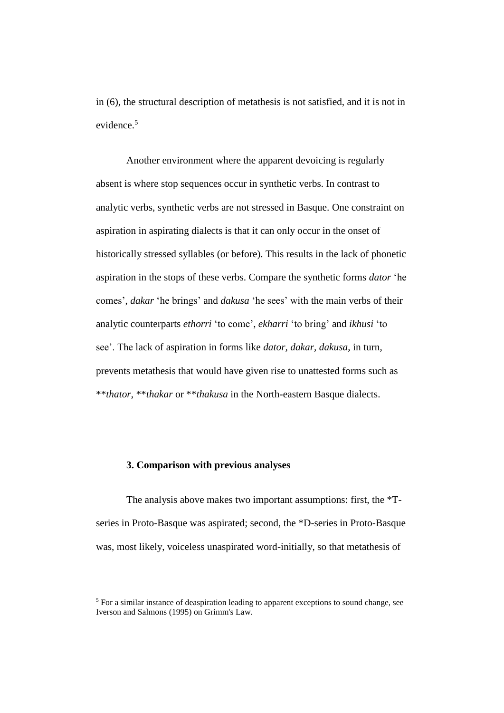in (6), the structural description of metathesis is not satisfied, and it is not in evidence.<sup>5</sup>

Another environment where the apparent devoicing is regularly absent is where stop sequences occur in synthetic verbs. In contrast to analytic verbs, synthetic verbs are not stressed in Basque. One constraint on aspiration in aspirating dialects is that it can only occur in the onset of historically stressed syllables (or before). This results in the lack of phonetic aspiration in the stops of these verbs. Compare the synthetic forms *dator* 'he comes', *dakar* 'he brings' and *dakusa* 'he sees' with the main verbs of their analytic counterparts *ethorri* 'to come', *ekharri* 'to bring' and *ikhusi* 'to see'. The lack of aspiration in forms like *dator, dakar, dakusa*, in turn, prevents metathesis that would have given rise to unattested forms such as \*\**thator*, \*\**thakar* or \*\**thakusa* in the North-eastern Basque dialects.

## **3. Comparison with previous analyses**

l

The analysis above makes two important assumptions: first, the \*Tseries in Proto-Basque was aspirated; second, the \*D-series in Proto-Basque was, most likely, voiceless unaspirated word-initially, so that metathesis of

<sup>&</sup>lt;sup>5</sup> For a similar instance of deaspiration leading to apparent exceptions to sound change, see Iverson and Salmons (1995) on Grimm's Law.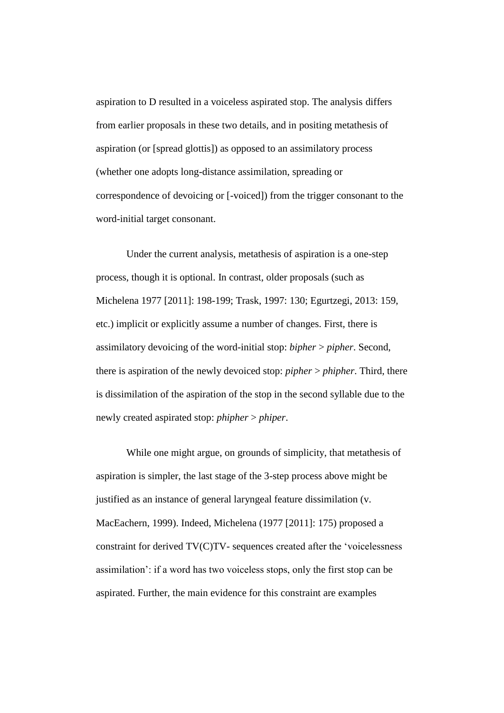aspiration to D resulted in a voiceless aspirated stop. The analysis differs from earlier proposals in these two details, and in positing metathesis of aspiration (or [spread glottis]) as opposed to an assimilatory process (whether one adopts long-distance assimilation, spreading or correspondence of devoicing or [-voiced]) from the trigger consonant to the word-initial target consonant.

Under the current analysis, metathesis of aspiration is a one-step process, though it is optional. In contrast, older proposals (such as Michelena 1977 [2011]: 198-199; Trask, 1997: 130; Egurtzegi, 2013: 159, etc.) implicit or explicitly assume a number of changes. First, there is assimilatory devoicing of the word-initial stop: *bipher* > *pipher*. Second, there is aspiration of the newly devoiced stop: *pipher* > *phipher*. Third, there is dissimilation of the aspiration of the stop in the second syllable due to the newly created aspirated stop: *phipher* > *phiper*.

While one might argue, on grounds of simplicity, that metathesis of aspiration is simpler, the last stage of the 3-step process above might be justified as an instance of general laryngeal feature dissimilation (v. MacEachern, 1999). Indeed, Michelena (1977 [2011]: 175) proposed a constraint for derived TV(C)TV- sequences created after the 'voicelessness assimilation': if a word has two voiceless stops, only the first stop can be aspirated. Further, the main evidence for this constraint are examples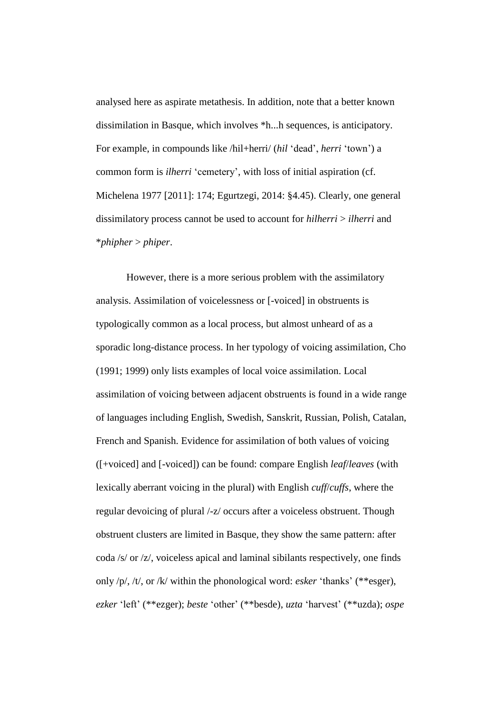analysed here as aspirate metathesis. In addition, note that a better known dissimilation in Basque, which involves \*h...h sequences, is anticipatory. For example, in compounds like /hil+herri/ (*hil* 'dead', *herri* 'town') a common form is *ilherri* 'cemetery', with loss of initial aspiration (cf. Michelena 1977 [2011]: 174; Egurtzegi, 2014: §4.45). Clearly, one general dissimilatory process cannot be used to account for *hilherri* > *ilherri* and \**phipher* > *phiper*.

However, there is a more serious problem with the assimilatory analysis. Assimilation of voicelessness or [-voiced] in obstruents is typologically common as a local process, but almost unheard of as a sporadic long-distance process. In her typology of voicing assimilation, Cho (1991; 1999) only lists examples of local voice assimilation. Local assimilation of voicing between adjacent obstruents is found in a wide range of languages including English, Swedish, Sanskrit, Russian, Polish, Catalan, French and Spanish. Evidence for assimilation of both values of voicing ([+voiced] and [-voiced]) can be found: compare English *leaf*/*leaves* (with lexically aberrant voicing in the plural) with English *cuff*/*cuffs*, where the regular devoicing of plural /-z/ occurs after a voiceless obstruent. Though obstruent clusters are limited in Basque, they show the same pattern: after coda /s/ or /z/, voiceless apical and laminal sibilants respectively, one finds only /p/, /t/, or /k/ within the phonological word: *esker* 'thanks' (\*\*esger), *ezker* 'left' (\*\*ezger); *beste* 'other' (\*\*besde), *uzta* 'harvest' (\*\*uzda); *ospe*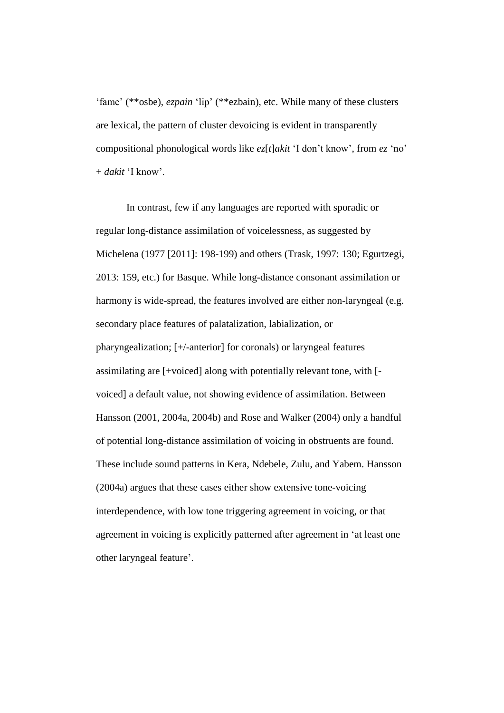'fame' (\*\*osbe), *ezpain* 'lip' (\*\*ezbain), etc. While many of these clusters are lexical, the pattern of cluster devoicing is evident in transparently compositional phonological words like *ez*[*t*]*akit* 'I don't know', from *ez* 'no' + *dakit* 'I know'.

In contrast, few if any languages are reported with sporadic or regular long-distance assimilation of voicelessness, as suggested by Michelena (1977 [2011]: 198-199) and others (Trask, 1997: 130; Egurtzegi, 2013: 159, etc.) for Basque. While long-distance consonant assimilation or harmony is wide-spread, the features involved are either non-laryngeal (e.g. secondary place features of palatalization, labialization, or pharyngealization; [+/-anterior] for coronals) or laryngeal features assimilating are [+voiced] along with potentially relevant tone, with [ voiced] a default value, not showing evidence of assimilation. Between Hansson (2001, 2004a, 2004b) and Rose and Walker (2004) only a handful of potential long-distance assimilation of voicing in obstruents are found. These include sound patterns in Kera, Ndebele, Zulu, and Yabem. Hansson (2004a) argues that these cases either show extensive tone-voicing interdependence, with low tone triggering agreement in voicing, or that agreement in voicing is explicitly patterned after agreement in 'at least one other laryngeal feature'.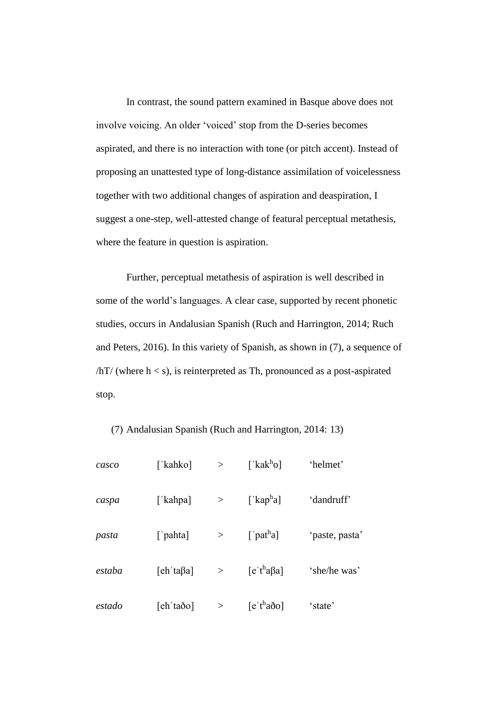In contrast, the sound pattern examined in Basque above does not involve voicing. An older 'voiced' stop from the D-series becomes aspirated, and there is no interaction with tone (or pitch accent). Instead of proposing an unattested type of long-distance assimilation of voicelessness together with two additional changes of aspiration and deaspiration, I suggest a one-step, well-attested change of featural perceptual metathesis, where the feature in question is aspiration.

Further, perceptual metathesis of aspiration is well described in some of the world's languages. A clear case, supported by recent phonetic studies, occurs in Andalusian Spanish (Ruch and Harrington, 2014; Ruch and Peters, 2016). In this variety of Spanish, as shown in (7), a sequence of  $/hT/$  (where  $h < s$ ), is reinterpreted as Th, pronounced as a post-aspirated stop.

#### (7) Andalusian Spanish (Ruch and Harrington, 2014: 13)

| casco  | [ˈkahko]                  | $\geq$ | [' $kak^h$ o]                      | 'helmet'       |
|--------|---------------------------|--------|------------------------------------|----------------|
| caspa  | [ˈkahpa]                  | $\geq$ | [' $kapha$ ]                       | 'dandruff'     |
| pasta  | ['pahta]                  | >      | $\lceil$ 'pat <sup>h</sup> a]      | 'paste, pasta' |
| estaba | $[eh' \text{ta} \beta a]$ | >      | $[$ e 't <sup>h</sup> a $\beta$ a] | 'she/he was'   |
| estado | [ehˈtaðo]                 | >      | $[e^{\cdot t}a\delta o]$           | 'state'        |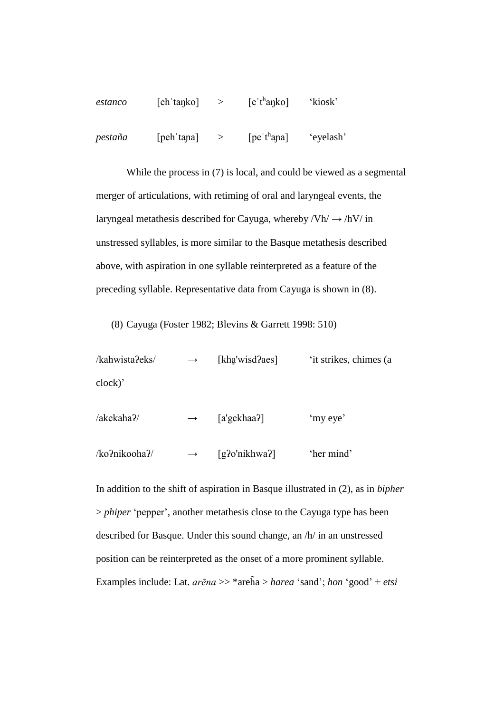| estanco | [eh 'tanko] | $[$ e 't <sup>h</sup> anko] | 'kiosk'   |
|---------|-------------|-----------------------------|-----------|
| pestaña | [peh 'tana] | $[pe'th$ ana]               | 'eyelash' |

While the process in (7) is local, and could be viewed as a segmental merger of articulations, with retiming of oral and laryngeal events, the laryngeal metathesis described for Cayuga, whereby  $/Vh / \rightarrow /hV /$  in unstressed syllables, is more similar to the Basque metathesis described above, with aspiration in one syllable reinterpreted as a feature of the preceding syllable. Representative data from Cayuga is shown in (8).

(8) Cayuga (Foster 1982; Blevins & Garrett 1998: 510)

 $/kahwista?eks$   $\rightarrow$  [khavisd?aes] 'it strikes, chimes (a clock)'

/akekahaʔ/ → [a'gekhaaʔ] 'my eye' /koʔnikoohaʔ/ → [gʔo'nikhwaʔ] 'her mind'

In addition to the shift of aspiration in Basque illustrated in (2), as in *bipher* > *phiper* 'pepper', another metathesis close to the Cayuga type has been described for Basque. Under this sound change, an /h/ in an unstressed position can be reinterpreted as the onset of a more prominent syllable. Examples include: Lat. *arēna* >> \*areh̃a > *harea* 'sand'; *hon* 'good' + *etsi*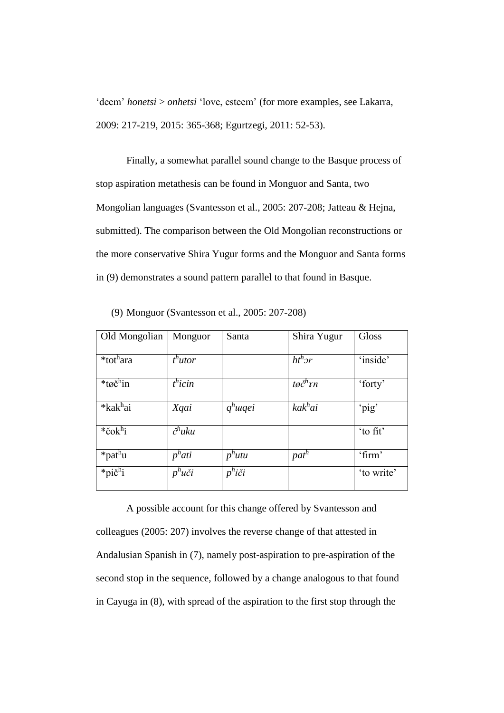'deem' *honetsi* > *onhetsi* 'love, esteem' (for more examples, see Lakarra, 2009: 217-219, 2015: 365-368; Egurtzegi, 2011: 52-53).

Finally, a somewhat parallel sound change to the Basque process of stop aspiration metathesis can be found in Monguor and Santa, two Mongolian languages (Svantesson et al., 2005: 207-208; Jatteau & Hejna, submitted). The comparison between the Old Mongolian reconstructions or the more conservative Shira Yugur forms and the Monguor and Santa forms in (9) demonstrates a sound pattern parallel to that found in Basque.

| Old Mongolian         | Monguor             | Santa               | Shira Yugur                  | Gloss      |
|-----------------------|---------------------|---------------------|------------------------------|------------|
|                       |                     |                     |                              |            |
| *tot <sup>h</sup> ara | $th$ utor           |                     | $ht^h$ <sub>2</sub> r        | 'inside'   |
| *tøč <sup>h</sup> in  | t <sup>h</sup> icin |                     | $t\varnothing\check{c}^h$ rn | 'forty'    |
| *kak <sup>h</sup> ai  | Xqai                | $q^h$ <i>uqei</i>   | kak <sup>h</sup> ai          | 'pig'      |
| $*$ čok $h$ i         | $\check{c}^h$ uku   |                     |                              | 'to fit'   |
| *pat <sup>h</sup> u   | p <sup>h</sup> ati  | $p^h$ utu           | $pat^h$                      | 'firm'     |
| $*pi\check{c}^h$ i    | $p^h$ uči           | $p^h i \check{c} i$ |                              | 'to write' |

(9) Monguor (Svantesson et al., 2005: 207-208)

A possible account for this change offered by Svantesson and colleagues (2005: 207) involves the reverse change of that attested in Andalusian Spanish in (7), namely post-aspiration to pre-aspiration of the second stop in the sequence, followed by a change analogous to that found in Cayuga in (8), with spread of the aspiration to the first stop through the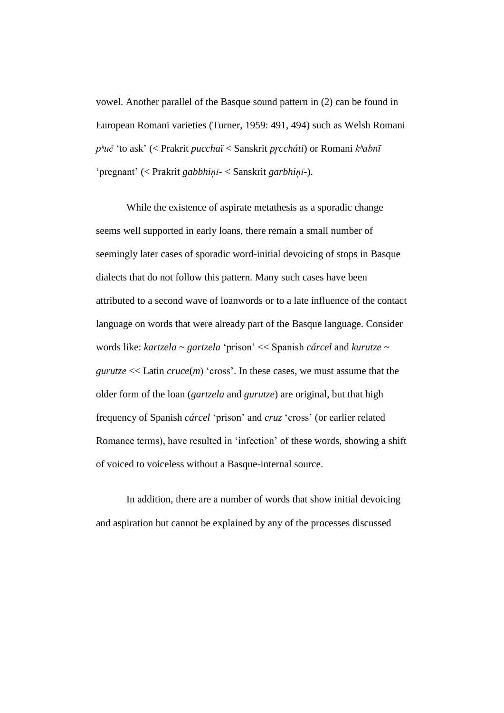vowel. Another parallel of the Basque sound pattern in (2) can be found in European Romani varieties (Turner, 1959: 491, 494) such as Welsh Romani *pʰuč* 'to ask' (< Prakrit *pucchaï* < Sanskrit *pr̥ccháti*) or Romani *kʰabnī* 'pregnant' (< Prakrit *gabbhin̩ ī*- < Sanskrit *garbhin̩ ī*-).

While the existence of aspirate metathesis as a sporadic change seems well supported in early loans, there remain a small number of seemingly later cases of sporadic word-initial devoicing of stops in Basque dialects that do not follow this pattern. Many such cases have been attributed to a second wave of loanwords or to a late influence of the contact language on words that were already part of the Basque language. Consider words like: *kartzela* ~ *gartzela* 'prison' << Spanish *cárcel* and *kurutze* ~ *gurutze*  $<<$  Latin *cruce*(*m*) 'cross'. In these cases, we must assume that the older form of the loan (*gartzela* and *gurutze*) are original, but that high frequency of Spanish *cárcel* 'prison' and *cruz* 'cross' (or earlier related Romance terms), have resulted in 'infection' of these words, showing a shift of voiced to voiceless without a Basque-internal source.

In addition, there are a number of words that show initial devoicing and aspiration but cannot be explained by any of the processes discussed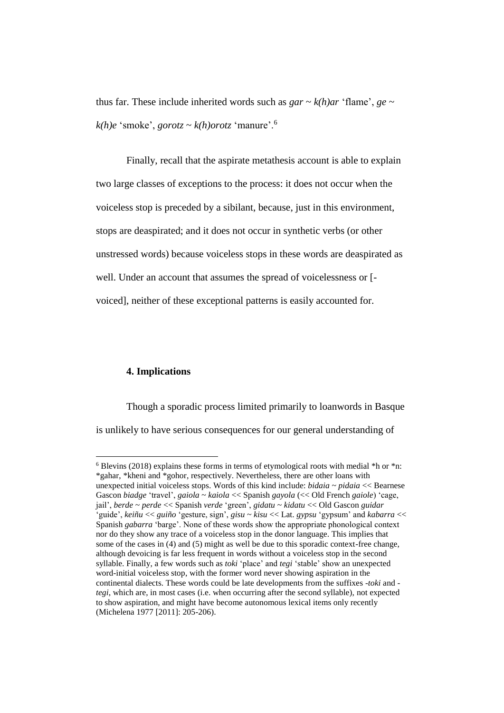thus far. These include inherited words such as  $gar \sim k(h)ar$  'flame',  $ge \sim$  $k(h)e$  'smoke', *gorotz* ~  $k(h)$ *orotz* 'manure'.<sup>6</sup>

Finally, recall that the aspirate metathesis account is able to explain two large classes of exceptions to the process: it does not occur when the voiceless stop is preceded by a sibilant, because, just in this environment, stops are deaspirated; and it does not occur in synthetic verbs (or other unstressed words) because voiceless stops in these words are deaspirated as well. Under an account that assumes the spread of voicelessness or [ voiced], neither of these exceptional patterns is easily accounted for.

#### **4. Implications**

 $\overline{a}$ 

Though a sporadic process limited primarily to loanwords in Basque is unlikely to have serious consequences for our general understanding of

 $6$  Blevins (2018) explains these forms in terms of etymological roots with medial  $*$ h or  $*$ n: \*gahar, \*kheni and \*gohor, respectively. Nevertheless, there are other loans with unexpected initial voiceless stops. Words of this kind include: *bidaia* ~ *pidaia* << Bearnese Gascon *biadge* 'travel', *gaiola* ~ *kaiola* << Spanish *gayola* (<< Old French *gaiole*) 'cage, jail', *berde* ~ *perde* << Spanish *verde* 'green', *gidatu* ~ *kidatu* << Old Gascon *guidar* 'guide', *keiñu* << *guiño* 'gesture, sign', *gisu* ~ *kisu* << Lat. *gypsu* 'gypsum' and *kabarra* << Spanish *gabarra* 'barge'. None of these words show the appropriate phonological context nor do they show any trace of a voiceless stop in the donor language. This implies that some of the cases in (4) and (5) might as well be due to this sporadic context-free change, although devoicing is far less frequent in words without a voiceless stop in the second syllable. Finally, a few words such as *toki* 'place' and *tegi* 'stable' show an unexpected word-initial voiceless stop, with the former word never showing aspiration in the continental dialects. These words could be late developments from the suffixes -*toki* and *tegi*, which are, in most cases (i.e. when occurring after the second syllable), not expected to show aspiration, and might have become autonomous lexical items only recently (Michelena 1977 [2011]: 205-206).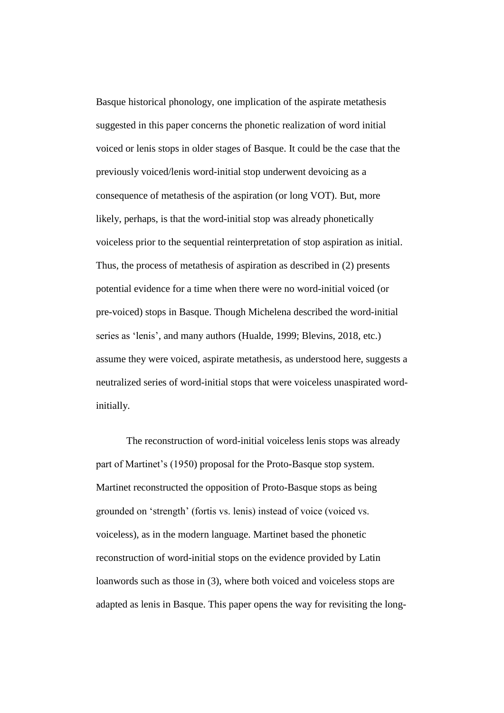Basque historical phonology, one implication of the aspirate metathesis suggested in this paper concerns the phonetic realization of word initial voiced or lenis stops in older stages of Basque. It could be the case that the previously voiced/lenis word-initial stop underwent devoicing as a consequence of metathesis of the aspiration (or long VOT). But, more likely, perhaps, is that the word-initial stop was already phonetically voiceless prior to the sequential reinterpretation of stop aspiration as initial. Thus, the process of metathesis of aspiration as described in (2) presents potential evidence for a time when there were no word-initial voiced (or pre-voiced) stops in Basque. Though Michelena described the word-initial series as 'lenis', and many authors (Hualde, 1999; Blevins, 2018, etc.) assume they were voiced, aspirate metathesis, as understood here, suggests a neutralized series of word-initial stops that were voiceless unaspirated wordinitially.

The reconstruction of word-initial voiceless lenis stops was already part of Martinet's (1950) proposal for the Proto-Basque stop system. Martinet reconstructed the opposition of Proto-Basque stops as being grounded on 'strength' (fortis vs. lenis) instead of voice (voiced vs. voiceless), as in the modern language. Martinet based the phonetic reconstruction of word-initial stops on the evidence provided by Latin loanwords such as those in (3), where both voiced and voiceless stops are adapted as lenis in Basque. This paper opens the way for revisiting the long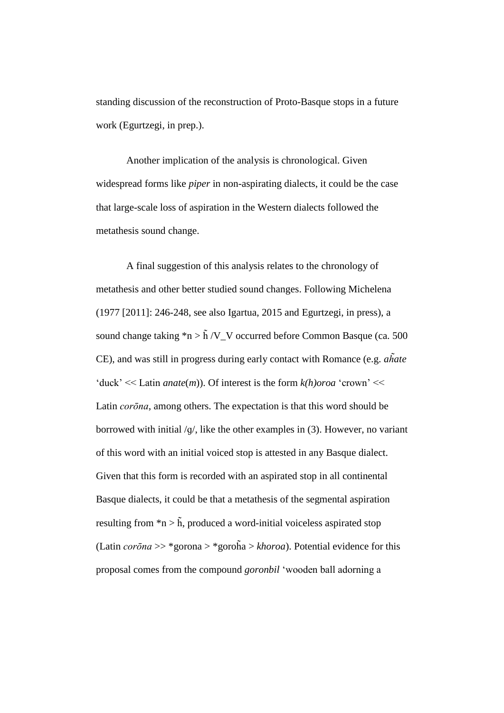standing discussion of the reconstruction of Proto-Basque stops in a future work (Egurtzegi, in prep.).

Another implication of the analysis is chronological. Given widespread forms like *piper* in non-aspirating dialects, it could be the case that large-scale loss of aspiration in the Western dialects followed the metathesis sound change.

A final suggestion of this analysis relates to the chronology of metathesis and other better studied sound changes. Following Michelena (1977 [2011]: 246-248, see also Igartua, 2015 and Egurtzegi, in press), a sound change taking  $n > \tilde{h}/V$  V occurred before Common Basque (ca. 500) CE), and was still in progress during early contact with Romance (e.g. *ah̃ate* 'duck' << Latin *anate*(*m*)). Of interest is the form *k(h)oroa* 'crown' << Latin *corōna*, among others. The expectation is that this word should be borrowed with initial /ɡ/, like the other examples in (3). However, no variant of this word with an initial voiced stop is attested in any Basque dialect. Given that this form is recorded with an aspirated stop in all continental Basque dialects, it could be that a metathesis of the segmental aspiration resulting from  $n > \tilde{h}$ , produced a word-initial voiceless aspirated stop (Latin *corōna* >> \*gorona > \*goroh̄a > *khoroa*). Potential evidence for this proposal comes from the compound *goronbil* 'wooden ball adorning a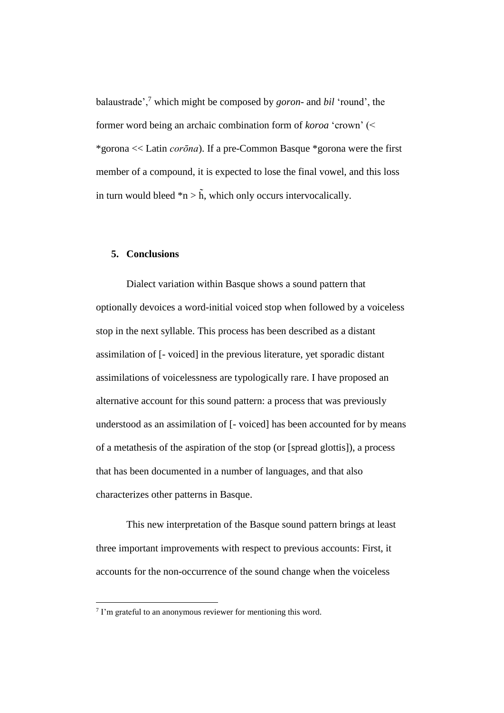balaustrade',<sup>7</sup> which might be composed by *goron*- and *bil* 'round', the former word being an archaic combination form of *koroa* 'crown' (< \*gorona << Latin *corōna*). If a pre-Common Basque \*gorona were the first member of a compound, it is expected to lose the final vowel, and this loss in turn would bleed  $*n > \tilde{h}$ , which only occurs intervocalically.

## **5. Conclusions**

Dialect variation within Basque shows a sound pattern that optionally devoices a word-initial voiced stop when followed by a voiceless stop in the next syllable. This process has been described as a distant assimilation of [- voiced] in the previous literature, yet sporadic distant assimilations of voicelessness are typologically rare. I have proposed an alternative account for this sound pattern: a process that was previously understood as an assimilation of [- voiced] has been accounted for by means of a metathesis of the aspiration of the stop (or [spread glottis]), a process that has been documented in a number of languages, and that also characterizes other patterns in Basque.

This new interpretation of the Basque sound pattern brings at least three important improvements with respect to previous accounts: First, it accounts for the non-occurrence of the sound change when the voiceless

 7 I'm grateful to an anonymous reviewer for mentioning this word.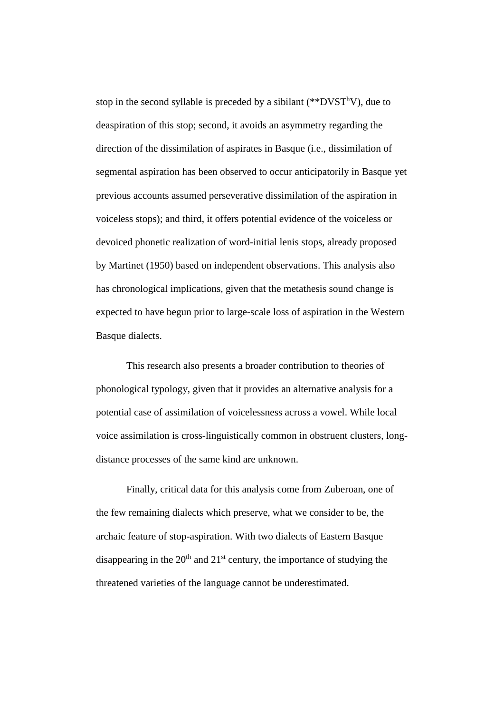stop in the second syllable is preceded by a sibilant  $(*^{*}DVST^{h}V)$ , due to deaspiration of this stop; second, it avoids an asymmetry regarding the direction of the dissimilation of aspirates in Basque (i.e., dissimilation of segmental aspiration has been observed to occur anticipatorily in Basque yet previous accounts assumed perseverative dissimilation of the aspiration in voiceless stops); and third, it offers potential evidence of the voiceless or devoiced phonetic realization of word-initial lenis stops, already proposed by Martinet (1950) based on independent observations. This analysis also has chronological implications, given that the metathesis sound change is expected to have begun prior to large-scale loss of aspiration in the Western Basque dialects.

This research also presents a broader contribution to theories of phonological typology, given that it provides an alternative analysis for a potential case of assimilation of voicelessness across a vowel. While local voice assimilation is cross-linguistically common in obstruent clusters, longdistance processes of the same kind are unknown.

Finally, critical data for this analysis come from Zuberoan, one of the few remaining dialects which preserve, what we consider to be, the archaic feature of stop-aspiration. With two dialects of Eastern Basque disappearing in the  $20<sup>th</sup>$  and  $21<sup>st</sup>$  century, the importance of studying the threatened varieties of the language cannot be underestimated.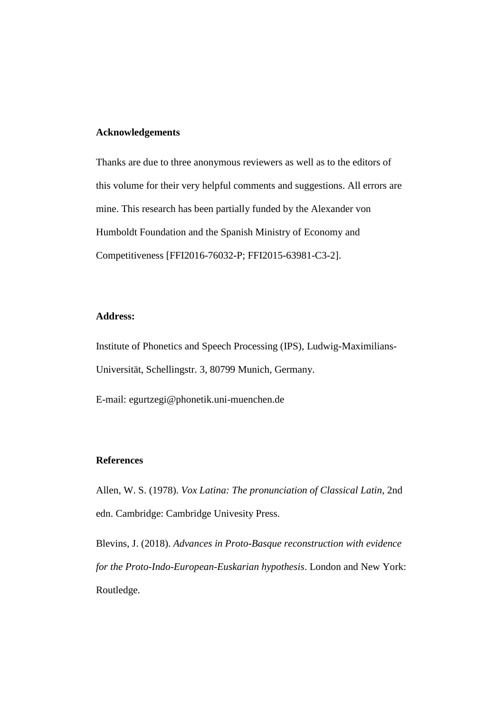#### **Acknowledgements**

Thanks are due to three anonymous reviewers as well as to the editors of this volume for their very helpful comments and suggestions. All errors are mine. This research has been partially funded by the Alexander von Humboldt Foundation and the Spanish Ministry of Economy and Competitiveness [FFI2016-76032-P; FFI2015-63981-C3-2].

#### **Address:**

Institute of Phonetics and Speech Processing (IPS), Ludwig-Maximilians-Universität, Schellingstr. 3, 80799 Munich, Germany.

E-mail: egurtzegi@phonetik.uni-muenchen.de

# **References**

Allen, W. S. (1978). *Vox Latina: The pronunciation of Classical Latin*, 2nd edn. Cambridge: Cambridge Univesity Press.

Blevins, J. (2018). *Advances in Proto-Basque reconstruction with evidence for the Proto-Indo-European-Euskarian hypothesis*. London and New York: Routledge.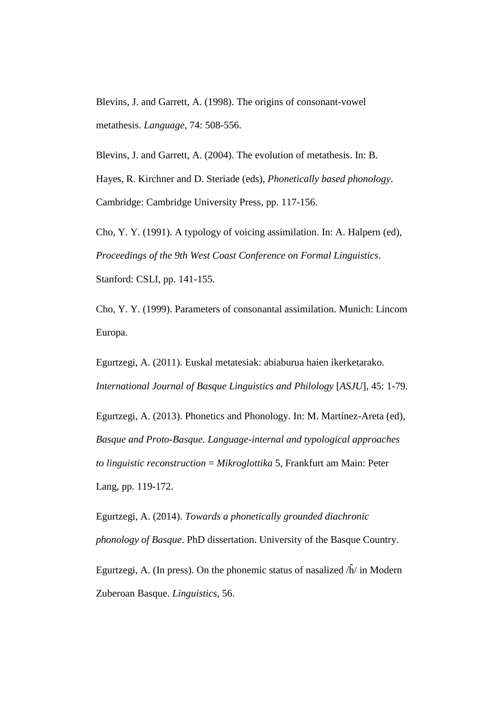Blevins, J. and Garrett, A. (1998). The origins of consonant-vowel metathesis. *Language*, 74: 508-556.

Blevins, J. and Garrett, A. (2004). The evolution of metathesis. In: B. Hayes, R. Kirchner and D. Steriade (eds), *Phonetically based phonology*. Cambridge: Cambridge University Press, pp. 117-156.

Cho, Y. Y. (1991). A typology of voicing assimilation. In: A. Halpern (ed), *Proceedings of the 9th West Coast Conference on Formal Linguistics*. Stanford: CSLI, pp. 141-155.

Cho, Y. Y. (1999). Parameters of consonantal assimilation. Munich: Lincom Europa.

Egurtzegi, A. (2011). Euskal metatesiak: abiaburua haien ikerketarako. *International Journal of Basque Linguistics and Philology* [*ASJU*], 45: 1-79.

Egurtzegi, A. (2013). Phonetics and Phonology. In: M. Martínez-Areta (ed), *Basque and Proto-Basque. Language-internal and typological approaches to linguistic reconstruction* = *Mikroglottika* 5, Frankfurt am Main: Peter Lang, pp. 119-172.

Egurtzegi, A. (2014). *Towards a phonetically grounded diachronic phonology of Basque*. PhD dissertation. University of the Basque Country. Egurtzegi, A. (In press). On the phonemic status of nasalized  $\langle \tilde{h} \rangle$  in Modern Zuberoan Basque. *Linguistics*, 56.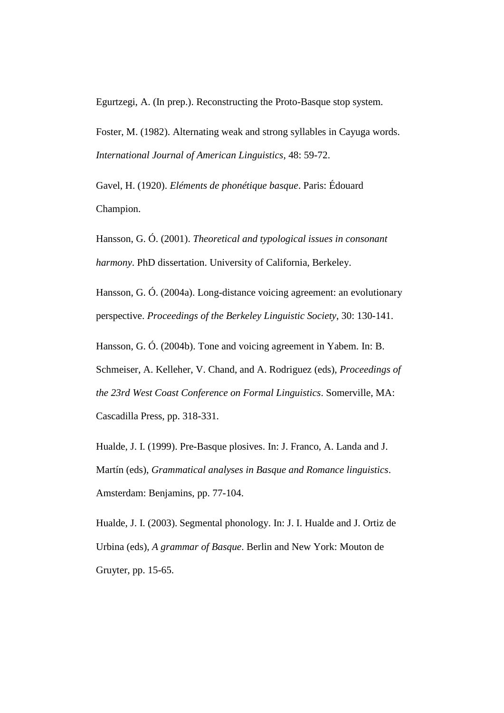Egurtzegi, A. (In prep.). Reconstructing the Proto-Basque stop system.

Foster, M. (1982). Alternating weak and strong syllables in Cayuga words. *International Journal of American Linguistics*, 48: 59-72.

Gavel, H. (1920). *Eléments de phonétique basque*. Paris: Édouard Champion.

Hansson, G. Ó. (2001). *Theoretical and typological issues in consonant harmony*. PhD dissertation. University of California, Berkeley.

Hansson, G. Ó. (2004a). Long-distance voicing agreement: an evolutionary perspective. *Proceedings of the Berkeley Linguistic Society*, 30: 130-141.

Hansson, G. Ó. (2004b). Tone and voicing agreement in Yabem. In: B.

Schmeiser, A. Kelleher, V. Chand, and A. Rodriguez (eds), *Proceedings of the 23rd West Coast Conference on Formal Linguistics*. Somerville, MA: Cascadilla Press, pp. 318-331.

Hualde, J. I. (1999). Pre-Basque plosives. In: J. Franco, A. Landa and J. Martín (eds), *Grammatical analyses in Basque and Romance linguistics*. Amsterdam: Benjamins, pp. 77-104.

Hualde, J. I. (2003). Segmental phonology. In: J. I. Hualde and J. Ortiz de Urbina (eds), *A grammar of Basque*. Berlin and New York: Mouton de Gruyter, pp. 15-65.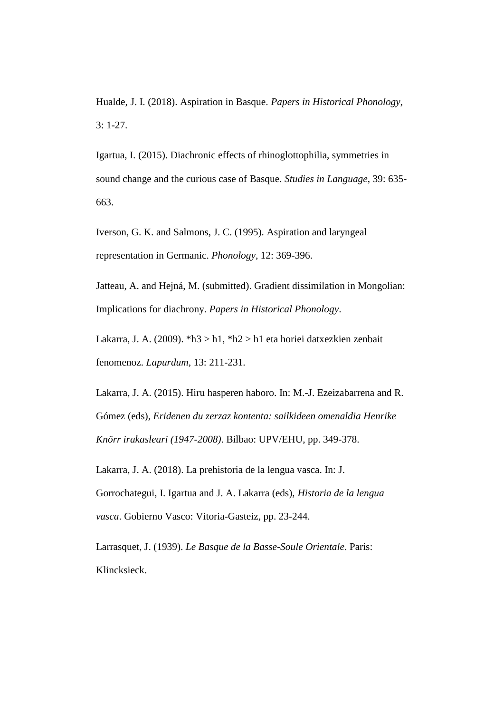Hualde, J. I. (2018). Aspiration in Basque. *Papers in Historical Phonology*, 3: 1-27.

Igartua, I. (2015). Diachronic effects of rhinoglottophilia, symmetries in sound change and the curious case of Basque. *Studies in Language*, 39: 635- 663.

Iverson, G. K. and Salmons, J. C. (1995). Aspiration and laryngeal representation in Germanic. *Phonology*, 12: 369-396.

Jatteau, A. and Hejná, M. (submitted). Gradient dissimilation in Mongolian: Implications for diachrony. *Papers in Historical Phonology*.

Lakarra, J. A. (2009). \*h3 > h1, \*h2 > h1 eta horiei datxezkien zenbait fenomenoz. *Lapurdum*, 13: 211-231.

Lakarra, J. A. (2015). Hiru hasperen haboro. In: M.-J. Ezeizabarrena and R. Gómez (eds), *Eridenen du zerzaz kontenta: sailkideen omenaldia Henrike Knörr irakasleari (1947-2008)*. Bilbao: UPV/EHU, pp. 349-378.

Lakarra, J. A. (2018). La prehistoria de la lengua vasca. In: J. Gorrochategui, I. Igartua and J. A. Lakarra (eds), *Historia de la lengua vasca*. Gobierno Vasco: Vitoria-Gasteiz, pp. 23-244.

Larrasquet, J. (1939). *Le Basque de la Basse-Soule Orientale*. Paris: Klincksieck.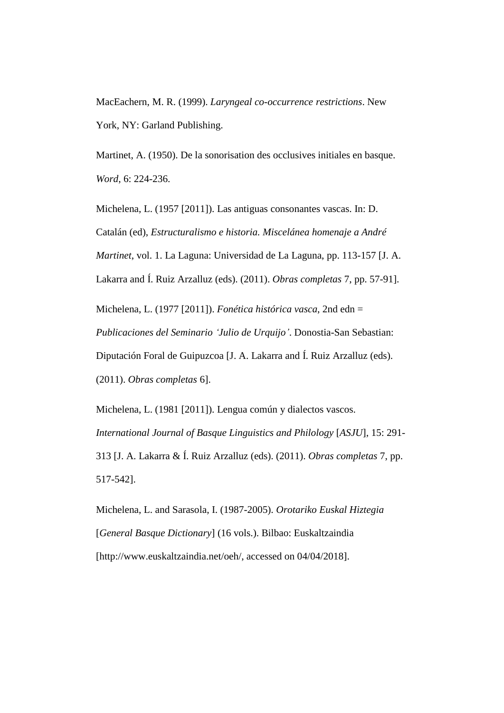MacEachern, M. R. (1999). *Laryngeal co-occurrence restrictions*. New York, NY: Garland Publishing.

Martinet, A. (1950). De la sonorisation des occlusives initiales en basque. *Word*, 6: 224-236.

Michelena, L. (1957 [2011]). Las antiguas consonantes vascas. In: D. Catalán (ed), *Estructuralismo e historia. Miscelánea homenaje a André Martinet*, vol. 1. La Laguna: Universidad de La Laguna, pp. 113-157 [J. A. Lakarra and Í. Ruiz Arzalluz (eds). (2011). *Obras completas* 7, pp. 57-91].

Michelena, L. (1977 [2011]). *Fonética histórica vasca*, 2nd edn = *Publicaciones del Seminario 'Julio de Urquijo'*. Donostia-San Sebastian: Diputación Foral de Guipuzcoa [J. A. Lakarra and Í. Ruiz Arzalluz (eds). (2011). *Obras completas* 6].

Michelena, L. (1981 [2011]). Lengua común y dialectos vascos. *International Journal of Basque Linguistics and Philology* [*ASJU*], 15: 291- 313 [J. A. Lakarra & Í. Ruiz Arzalluz (eds). (2011). *Obras completas* 7, pp. 517-542].

Michelena, L. and Sarasola, I. (1987-2005). *Orotariko Euskal Hiztegia*  [*General Basque Dictionary*] (16 vols.). Bilbao: Euskaltzaindia [http://www.euskaltzaindia.net/oeh/, accessed on 04/04/2018].